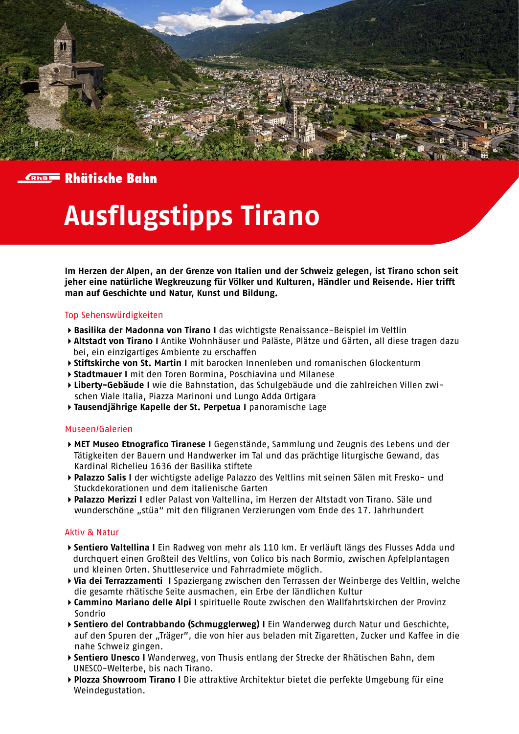



## **Ausflugstipps Tirano**

**Im Herzen der Alpen, an der Grenze von Italien und der Schweiz gelegen, ist Tirano schon seit jeher eine natürliche Wegkreuzung für Völker und Kulturen, Händler und Reisende. Hier trifft man auf Geschichte und Natur, Kunst und Bildung.** 

### Top Sehenswürdigkeiten

- **Basilika der Madonna von Tirano I** das wichtigste Renaissance-Beispiel im Veltlin
- **Altstadt von Tirano I** Antike Wohnhäuser und Paläste, Plätze und Gärten, all diese tragen dazu bei, ein einzigartiges Ambiente zu erschaffen
- **Stiftskirche von St. Martin I** mit barocken Innenleben und romanischen Glockenturm
- **Stadtmauer I** mit den Toren Bormina, Poschiavina und Milanese
- **Liberty-Gebäude I** wie die Bahnstation, das Schulgebäude und die zahlreichen Villen zwi schen Viale Italia, Piazza Marinoni und Lungo Adda Ortigara
- **Tausendjährige Kapelle der St. Perpetua I** panoramische Lage

### Museen/Galerien

- **MET Museo Etnografico Tiranese I** Gegenstände, Sammlung und Zeugnis des Lebens und der Tätigkeiten der Bauern und Handwerker im Tal und das prächtige liturgische Gewand, das Kardinal Richelieu 1636 der Basilika stiftete
- **Palazzo Salis I** der wichtigste adelige Palazzo des Veltlins mit seinen Sälen mit Fresko- und Stuckdekorationen und dem italienische Garten
- **Palazzo Merizzi I** edler Palast von Valtellina, im Herzen der Altstadt von Tirano. Säle und wunderschöne "stüa" mit den filigranen Verzierungen vom Ende des 17. Jahrhundert

### Aktiv & Natur

- **Sentiero Valtellina I** Ein Radweg von mehr als 110 km. Er verläuft längs des Flusses Adda und durchquert einen Großteil des Veltlins, von Colico bis nach Bormio, zwischen Apfelplantagen und kleinen Orten. Shuttleservice und Fahrradmiete möglich.
- **Via dei Terrazzamenti I** Spaziergang zwischen den Terrassen der Weinberge des Veltlin, welche die gesamte rhätische Seite ausmachen, ein Erbe der ländlichen Kultur
- **Cammino Mariano delle Alpi I** spirituelle Route zwischen den Wallfahrtskirchen der Provinz Sondrio
- **Sentiero del Contrabbando (Schmugglerweg) I** Ein Wanderweg durch Natur und Geschichte, auf den Spuren der "Träger", die von hier aus beladen mit Zigaretten, Zucker und Kaffee in die nahe Schweiz gingen.
- **Sentiero Unesco I** Wanderweg, von Thusis entlang der Strecke der Rhätischen Bahn, dem UNESCO-Welterbe, bis nach Tirano.
- **Plozza Showroom Tirano I** Die attraktive Architektur bietet die perfekte Umgebung für eine Weindegustation.